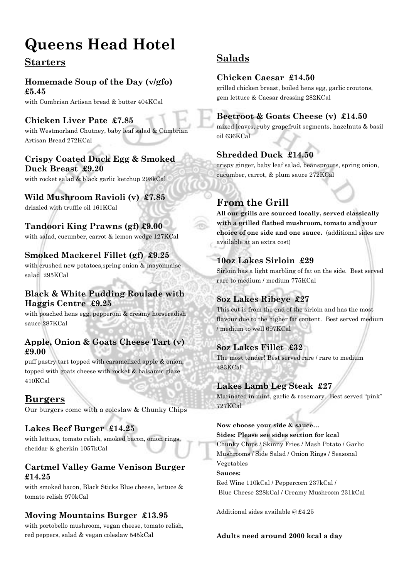# **Queens Head Hotel**

# **Starters**

### **Homemade Soup of the Day (v/gfo) £5.45**

with Cumbrian Artisan bread & butter 404KCal

# **Chicken Liver Pate £7.85**

with Westmorland Chutney, baby leaf salad & Cumbrian Artisan Bread 272KCal

#### **Crispy Coated Duck Egg & Smoked Duck Breast £9.20**

with rocket salad & black garlic ketchup 298kCal

# **Wild Mushroom Ravioli (v) £7.85**

drizzled with truffle oil 161KCal

#### **Tandoori King Prawns (gf) £9.00** with salad, cucumber, carrot & lemon wedge 127KCal

# **Smoked Mackerel Fillet (gf) £9.25**

with crushed new potatoes,spring onion & mayonnaise salad 295KCal

### **Black & White Pudding Roulade with Haggis Centre £9.25**

with poached hens egg, pepperoni & creamy horseradish sauce 287KCal

#### **Apple, Onion & Goats Cheese Tart (v) £9.00**

puff pastry tart topped with caramelized apple & onion, topped with goats cheese with rocket & balsamic glaze 410KCal

# **Burgers**

Our burgers come with a coleslaw & Chunky Chips

### **Lakes Beef Burger £14.25**

with lettuce, tomato relish, smoked bacon, onion rings, cheddar & gherkin 1057kCal

#### **Cartmel Valley Game Venison Burger £14.25**

with smoked bacon, Black Sticks Blue cheese, lettuce & tomato relish 970kCal

### **Moving Mountains Burger £13.95**

with portobello mushroom, vegan cheese, tomato relish, red peppers, salad & vegan coleslaw 545kCal

# **Salads**

# **Chicken Caesar £14.50**

grilled chicken breast, boiled hens egg, garlic croutons, gem lettuce & Caesar dressing 282KCal

### **Beetroot & Goats Cheese (v) £14.50**

mixed leaves, ruby grapefruit segments, hazelnuts & basil oil 636KCal

# **Shredded Duck £14.50**

crispy ginger, baby leaf salad, beansprouts, spring onion, cucumber, carrot, & plum sauce 272KCal

# **From the Grill**

**All our grills are sourced locally, served classically with a grilled flatbed mushroom, tomato and your choice of one side and one sauce.** (additional sides are available at an extra cost)

## **10oz Lakes Sirloin £29**

Sirloin has a light marbling of fat on the side. Best served rare to medium / medium 775KCal

# **8oz Lakes Ribeye £27**

This cut is from the end of the sirloin and has the most flavour due to the higher fat content. Best served medium / medium to well 697KCal

### **8oz Lakes Fillet £32**

The most tender! Best served rare / rare to medium 483KCal

# **Lakes Lamb Leg Steak £27**

Marinated in mint, garlic & rosemary. Best served "pink" 727KCal

#### **Now choose your side & sauce…**

**Sides: Please see sides section for kcal**  Chunky Chips / Skinny Fries / Mash Potato / Garlic Mushrooms / Side Salad / Onion Rings / Seasonal Vegetables **Sauces:** Red Wine 110kCal / Peppercorn 237kCal / Blue Cheese 228kCal / Creamy Mushroom 231kCal

Additional sides available @ £4.25

#### **Adults need around 2000 kcal a day**